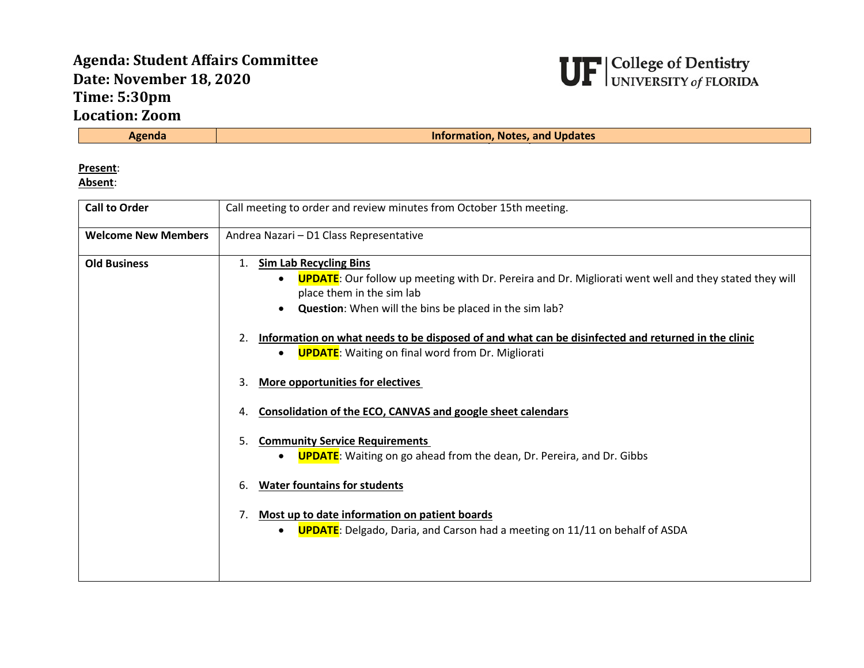## **Agenda: Student Affairs Committee Date: November 18, 2020 Time: 5:30pm Location: Zoom**



**Information, Notes, and Updates** 

**Present**:

**Absent**:

| <b>Call to Order</b>       | Call meeting to order and review minutes from October 15th meeting.                                                                                                                                                                                                                                                                                                                                                                                                                                                                                                                                                                                                                                                                                                                                                                                                                                                  |
|----------------------------|----------------------------------------------------------------------------------------------------------------------------------------------------------------------------------------------------------------------------------------------------------------------------------------------------------------------------------------------------------------------------------------------------------------------------------------------------------------------------------------------------------------------------------------------------------------------------------------------------------------------------------------------------------------------------------------------------------------------------------------------------------------------------------------------------------------------------------------------------------------------------------------------------------------------|
| <b>Welcome New Members</b> | Andrea Nazari - D1 Class Representative                                                                                                                                                                                                                                                                                                                                                                                                                                                                                                                                                                                                                                                                                                                                                                                                                                                                              |
| <b>Old Business</b>        | <b>Sim Lab Recycling Bins</b><br>1.<br><b>UPDATE:</b> Our follow up meeting with Dr. Pereira and Dr. Migliorati went well and they stated they will<br>٠<br>place them in the sim lab<br>Question: When will the bins be placed in the sim lab?<br>$\bullet$<br>Information on what needs to be disposed of and what can be disinfected and returned in the clinic<br>2.<br><b>UPDATE:</b> Waiting on final word from Dr. Migliorati<br>$\bullet$<br><b>More opportunities for electives</b><br>3.<br>Consolidation of the ECO, CANVAS and google sheet calendars<br>4.<br><b>Community Service Requirements</b><br>5.<br><b>UPDATE:</b> Waiting on go ahead from the dean, Dr. Pereira, and Dr. Gibbs<br>$\bullet$<br><b>Water fountains for students</b><br>6.<br>Most up to date information on patient boards<br><b>UPDATE:</b> Delgado, Daria, and Carson had a meeting on 11/11 on behalf of ASDA<br>$\bullet$ |